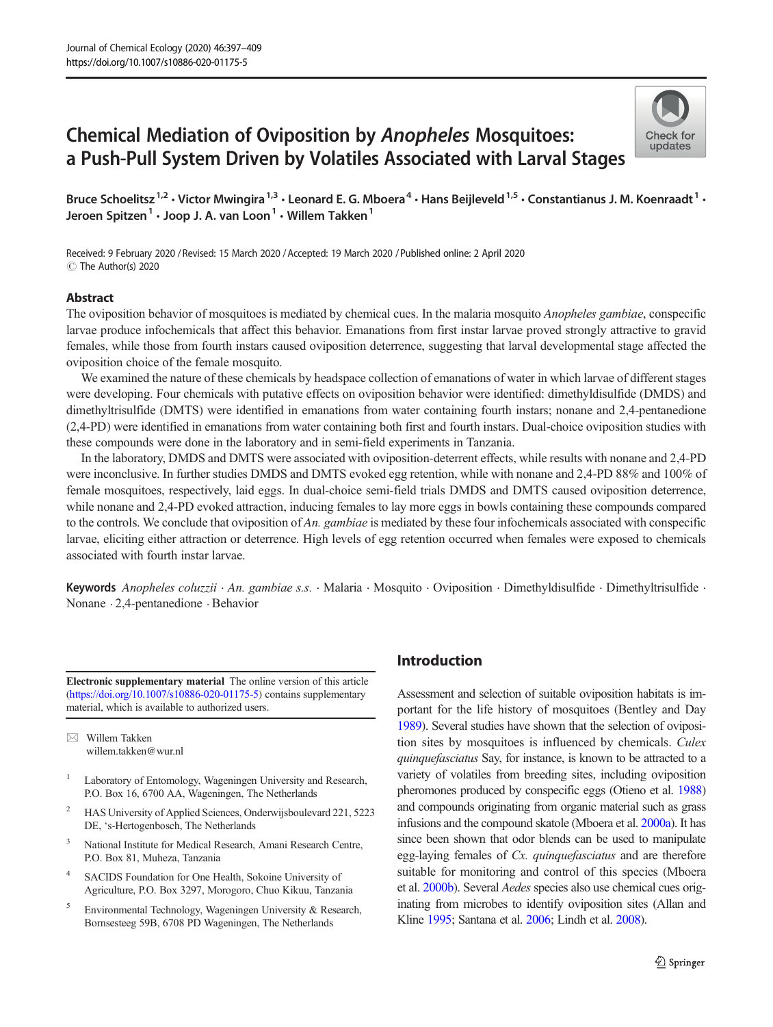# Chemical Mediation of Oviposition by Anopheles Mosquitoes: a Push-Pull System Driven by Volatiles Associated with Larval Stages



Bruce Schoelitsz<sup>1,2</sup> • Victor Mwingira<sup>1,3</sup> • Leonard E. G. Mboera<sup>4</sup> • Hans Beijleveld<sup>1,5</sup> • Constantianus J. M. Koenraadt<sup>1</sup> • Jeroen Spitzen<sup>1</sup> · Joop J. A. van Loon<sup>1</sup> · Willem Takken<sup>1</sup>

Received: 9 February 2020 / Revised: 15 March 2020 /Accepted: 19 March 2020 /Published online: 2 April 2020C The Author(s) 2020

#### Abstract

The oviposition behavior of mosquitoes is mediated by chemical cues. In the malaria mosquito Anopheles gambiae, conspecific larvae produce infochemicals that affect this behavior. Emanations from first instar larvae proved strongly attractive to gravid females, while those from fourth instars caused oviposition deterrence, suggesting that larval developmental stage affected the oviposition choice of the female mosquito.

We examined the nature of these chemicals by headspace collection of emanations of water in which larvae of different stages were developing. Four chemicals with putative effects on oviposition behavior were identified: dimethyldisulfide (DMDS) and dimethyltrisulfide (DMTS) were identified in emanations from water containing fourth instars; nonane and 2,4-pentanedione (2,4-PD) were identified in emanations from water containing both first and fourth instars. Dual-choice oviposition studies with these compounds were done in the laboratory and in semi-field experiments in Tanzania.

In the laboratory, DMDS and DMTS were associated with oviposition-deterrent effects, while results with nonane and 2,4-PD were inconclusive. In further studies DMDS and DMTS evoked egg retention, while with nonane and 2,4-PD 88% and 100% of female mosquitoes, respectively, laid eggs. In dual-choice semi-field trials DMDS and DMTS caused oviposition deterrence, while nonane and 2,4-PD evoked attraction, inducing females to lay more eggs in bowls containing these compounds compared to the controls. We conclude that oviposition of An. gambiae is mediated by these four infochemicals associated with conspecific larvae, eliciting either attraction or deterrence. High levels of egg retention occurred when females were exposed to chemicals associated with fourth instar larvae.

Keywords Anopheles coluzzii · An. gambiae s.s. · Malaria · Mosquito · Oviposition · Dimethyldisulfide · Dimethyltrisulfide · Nonane . 2,4-pentanedione . Behavior

Electronic supplementary material The online version of this article ([https://doi.org/10.1007/s10886-020-01175-5](http://creativecommons.org/licenses/by/4.0/)) contains supplementary material, which is available to authorized users.

 $\boxtimes$  Willem Takken [willem.takken@wur.nl](mailto:willem.takken@wur.nl)

- <sup>1</sup> Laboratory of Entomology, Wageningen University and Research, P.O. Box 16, 6700 AA, Wageningen, The Netherlands
- <sup>2</sup> HAS University of Applied Sciences, Onderwijsboulevard 221, 5223 DE, 's-Hertogenbosch, The Netherlands
- <sup>3</sup> National Institute for Medical Research, Amani Research Centre, P.O. Box 81, Muheza, Tanzania
- <sup>4</sup> SACIDS Foundation for One Health, Sokoine University of Agriculture, P.O. Box 3297, Morogoro, Chuo Kikuu, Tanzania
- <sup>5</sup> Environmental Technology, Wageningen University & Research, Bornsesteeg 59B, 6708 PD Wageningen, The Netherlands

## Introduction

Assessment and selection of suitable oviposition habitats is important for the life history of mosquitoes (Bentley and Day [1989\)](#page-10-0). Several studies have shown that the selection of oviposition sites by mosquitoes is influenced by chemicals. Culex quinquefasciatus Say, for instance, is known to be attracted to a variety of volatiles from breeding sites, including oviposition pheromones produced by conspecific eggs (Otieno et al. [1988](#page-11-0)) and compounds originating from organic material such as grass infusions and the compound skatole (Mboera et al. [2000a\)](#page-11-0). It has since been shown that odor blends can be used to manipulate egg-laying females of Cx. quinquefasciatus and are therefore suitable for monitoring and control of this species (Mboera et al. [2000b\)](#page-11-0). Several Aedes species also use chemical cues originating from microbes to identify oviposition sites (Allan and Kline [1995](#page-10-0); Santana et al. [2006](#page-12-0); Lindh et al. [2008\)](#page-11-0).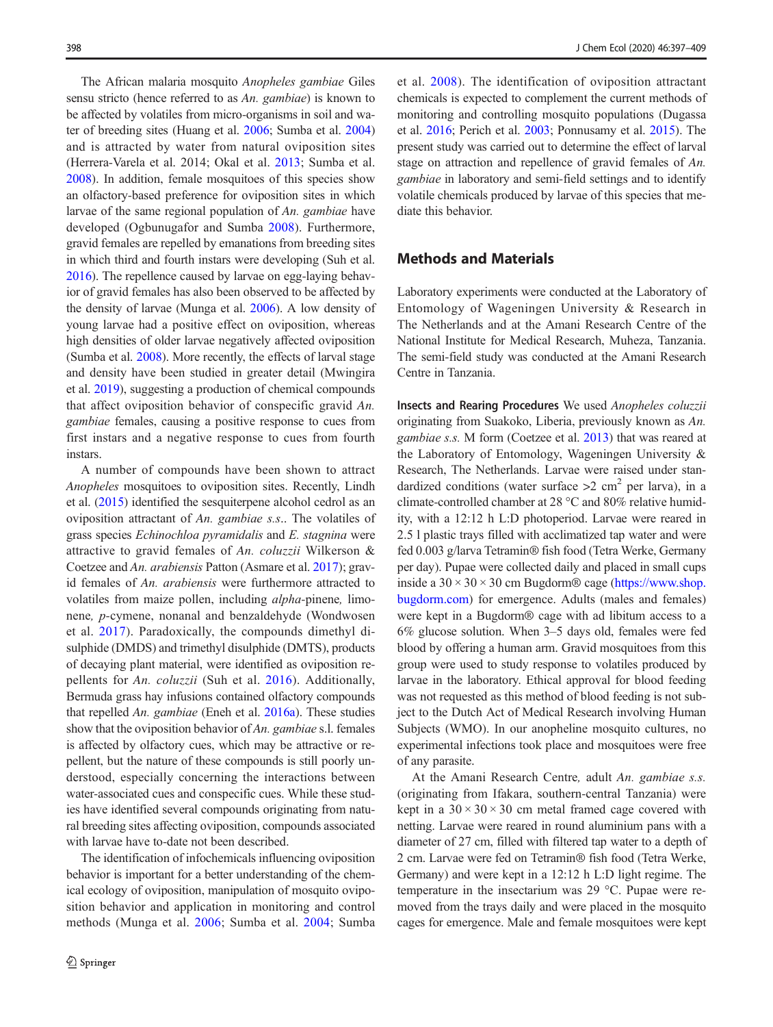The African malaria mosquito Anopheles gambiae Giles sensu stricto (hence referred to as An. gambiae) is known to be affected by volatiles from micro-organisms in soil and water of breeding sites (Huang et al. [2006](#page-11-0); Sumba et al. [2004\)](#page-12-0) and is attracted by water from natural oviposition sites (Herrera-Varela et al. 2014; Okal et al. [2013;](#page-11-0) Sumba et al. [2008\)](#page-12-0). In addition, female mosquitoes of this species show an olfactory-based preference for oviposition sites in which larvae of the same regional population of An. gambiae have developed (Ogbunugafor and Sumba [2008](#page-11-0)). Furthermore, gravid females are repelled by emanations from breeding sites in which third and fourth instars were developing (Suh et al. [2016\)](#page-12-0). The repellence caused by larvae on egg-laying behavior of gravid females has also been observed to be affected by the density of larvae (Munga et al. [2006](#page-11-0)). A low density of young larvae had a positive effect on oviposition, whereas high densities of older larvae negatively affected oviposition (Sumba et al. [2008\)](#page-12-0). More recently, the effects of larval stage and density have been studied in greater detail (Mwingira et al. [2019](#page-11-0)), suggesting a production of chemical compounds that affect oviposition behavior of conspecific gravid An. gambiae females, causing a positive response to cues from first instars and a negative response to cues from fourth instars.

A number of compounds have been shown to attract Anopheles mosquitoes to oviposition sites. Recently, Lindh et al. ([2015\)](#page-11-0) identified the sesquiterpene alcohol cedrol as an oviposition attractant of An. gambiae s.s.. The volatiles of grass species Echinochloa pyramidalis and E. stagnina were attractive to gravid females of An. coluzzii Wilkerson & Coetzee and An. arabiensis Patton (Asmare et al. [2017\)](#page-10-0); gravid females of An. arabiensis were furthermore attracted to volatiles from maize pollen, including alpha-pinene, limonene, p-cymene, nonanal and benzaldehyde (Wondwosen et al. [2017](#page-12-0)). Paradoxically, the compounds dimethyl disulphide (DMDS) and trimethyl disulphide (DMTS), products of decaying plant material, were identified as oviposition repellents for An. coluzzii (Suh et al. [2016](#page-12-0)). Additionally, Bermuda grass hay infusions contained olfactory compounds that repelled An. gambiae (Eneh et al. [2016a\)](#page-11-0). These studies show that the oviposition behavior of An. gambiae s.l. females is affected by olfactory cues, which may be attractive or repellent, but the nature of these compounds is still poorly understood, especially concerning the interactions between water-associated cues and conspecific cues. While these studies have identified several compounds originating from natural breeding sites affecting oviposition, compounds associated with larvae have to-date not been described.

The identification of infochemicals influencing oviposition behavior is important for a better understanding of the chemical ecology of oviposition, manipulation of mosquito oviposition behavior and application in monitoring and control methods (Munga et al. [2006](#page-11-0); Sumba et al. [2004](#page-12-0); Sumba et al. [2008\)](#page-12-0). The identification of oviposition attractant chemicals is expected to complement the current methods of monitoring and controlling mosquito populations (Dugassa et al. [2016](#page-11-0); Perich et al. [2003;](#page-11-0) Ponnusamy et al. [2015](#page-12-0)). The present study was carried out to determine the effect of larval stage on attraction and repellence of gravid females of An. gambiae in laboratory and semi-field settings and to identify volatile chemicals produced by larvae of this species that mediate this behavior.

## Methods and Materials

Laboratory experiments were conducted at the Laboratory of Entomology of Wageningen University & Research in The Netherlands and at the Amani Research Centre of the National Institute for Medical Research, Muheza, Tanzania. The semi-field study was conducted at the Amani Research Centre in Tanzania.

Insects and Rearing Procedures We used Anopheles coluzzii originating from Suakoko, Liberia, previously known as An. gambiae s.s. M form (Coetzee et al. [2013](#page-11-0)) that was reared at the Laboratory of Entomology, Wageningen University & Research, The Netherlands. Larvae were raised under standardized conditions (water surface  $>2$  cm<sup>2</sup> per larva), in a climate-controlled chamber at 28 °C and 80% relative humidity, with a 12:12 h L:D photoperiod. Larvae were reared in 2.5 l plastic trays filled with acclimatized tap water and were fed 0.003 g/larva Tetramin® fish food (Tetra Werke, Germany per day). Pupae were collected daily and placed in small cups inside a  $30 \times 30 \times 30$  cm Bugdorm® cage ([https://www.shop.](https://www.shop.bugdorm.com) [bugdorm.com](https://www.shop.bugdorm.com)) for emergence. Adults (males and females) were kept in a Bugdorm® cage with ad libitum access to a 6% glucose solution. When 3–5 days old, females were fed blood by offering a human arm. Gravid mosquitoes from this group were used to study response to volatiles produced by larvae in the laboratory. Ethical approval for blood feeding was not requested as this method of blood feeding is not subject to the Dutch Act of Medical Research involving Human Subjects (WMO). In our anopheline mosquito cultures, no experimental infections took place and mosquitoes were free of any parasite.

At the Amani Research Centre, adult An. gambiae s.s. (originating from Ifakara, southern-central Tanzania) were kept in a  $30 \times 30 \times 30$  cm metal framed cage covered with netting. Larvae were reared in round aluminium pans with a diameter of 27 cm, filled with filtered tap water to a depth of 2 cm. Larvae were fed on Tetramin® fish food (Tetra Werke, Germany) and were kept in a 12:12 h L:D light regime. The temperature in the insectarium was 29 °C. Pupae were removed from the trays daily and were placed in the mosquito cages for emergence. Male and female mosquitoes were kept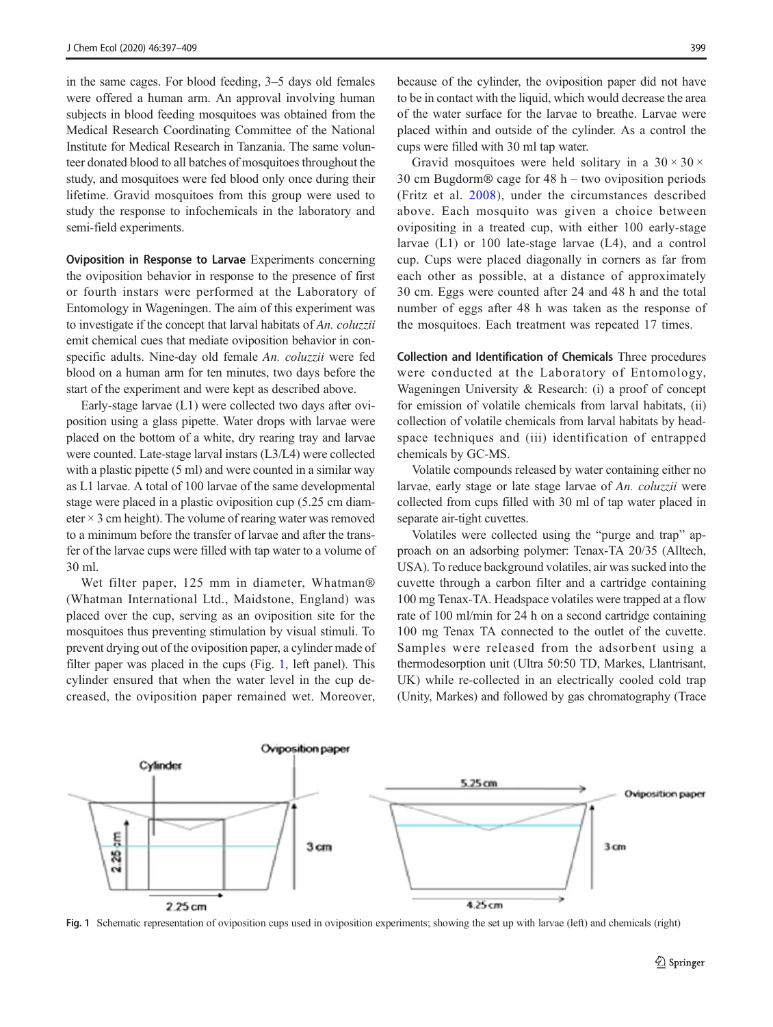in the same cages. For blood feeding, 3–5 days old females were offered a human arm. An approval involving human subjects in blood feeding mosquitoes was obtained from the Medical Research Coordinating Committee of the National Institute for Medical Research in Tanzania. The same volunteer donated blood to all batches of mosquitoes throughout the study, and mosquitoes were fed blood only once during their lifetime. Gravid mosquitoes from this group were used to study the response to infochemicals in the laboratory and semi-field experiments.

Oviposition in Response to Larvae Experiments concerning the oviposition behavior in response to the presence of first or fourth instars were performed at the Laboratory of Entomology in Wageningen. The aim of this experiment was to investigate if the concept that larval habitats of An. coluzzii emit chemical cues that mediate oviposition behavior in conspecific adults. Nine-day old female An. coluzzii were fed blood on a human arm for ten minutes, two days before the start of the experiment and were kept as described above.

Early-stage larvae (L1) were collected two days after oviposition using a glass pipette. Water drops with larvae were placed on the bottom of a white, dry rearing tray and larvae were counted. Late-stage larval instars (L3/L4) were collected with a plastic pipette (5 ml) and were counted in a similar way as L1 larvae. A total of 100 larvae of the same developmental stage were placed in a plastic oviposition cup (5.25 cm diameter  $\times$  3 cm height). The volume of rearing water was removed to a minimum before the transfer of larvae and after the transfer of the larvae cups were filled with tap water to a volume of 30 ml.

Wet filter paper, 125 mm in diameter, Whatman® (Whatman International Ltd., Maidstone, England) was placed over the cup, serving as an oviposition site for the mosquitoes thus preventing stimulation by visual stimuli. To prevent drying out of the oviposition paper, a cylinder made of filter paper was placed in the cups (Fig. 1, left panel). This cylinder ensured that when the water level in the cup decreased, the oviposition paper remained wet. Moreover,

because of the cylinder, the oviposition paper did not have to be in contact with the liquid, which would decrease the area of the water surface for the larvae to breathe. Larvae were placed within and outside of the cylinder. As a control the cups were filled with 30 ml tap water.

Gravid mosquitoes were held solitary in a  $30 \times 30 \times$ 30 cm Bugdorm® cage for 48 h – two oviposition periods (Fritz et al. [2008\)](#page-11-0), under the circumstances described above. Each mosquito was given a choice between ovipositing in a treated cup, with either 100 early-stage larvae (L1) or 100 late-stage larvae (L4), and a control cup. Cups were placed diagonally in corners as far from each other as possible, at a distance of approximately 30 cm. Eggs were counted after 24 and 48 h and the total number of eggs after 48 h was taken as the response of the mosquitoes. Each treatment was repeated 17 times.

Collection and Identification of Chemicals Three procedures were conducted at the Laboratory of Entomology, Wageningen University & Research: (i) a proof of concept for emission of volatile chemicals from larval habitats, (ii) collection of volatile chemicals from larval habitats by headspace techniques and (iii) identification of entrapped chemicals by GC-MS.

Volatile compounds released by water containing either no larvae, early stage or late stage larvae of An. coluzzii were collected from cups filled with 30 ml of tap water placed in separate air-tight cuvettes.

Volatiles were collected using the "purge and trap" approach on an adsorbing polymer: Tenax-TA 20/35 (Alltech, USA). To reduce background volatiles, air was sucked into the cuvette through a carbon filter and a cartridge containing 100 mg Tenax-TA. Headspace volatiles were trapped at a flow rate of 100 ml/min for 24 h on a second cartridge containing 100 mg Tenax TA connected to the outlet of the cuvette. Samples were released from the adsorbent using a thermodesorption unit (Ultra 50:50 TD, Markes, Llantrisant, UK) while re-collected in an electrically cooled cold trap (Unity, Markes) and followed by gas chromatography (Trace



Fig. 1 Schematic representation of oviposition cups used in oviposition experiments; showing the set up with larvae (left) and chemicals (right)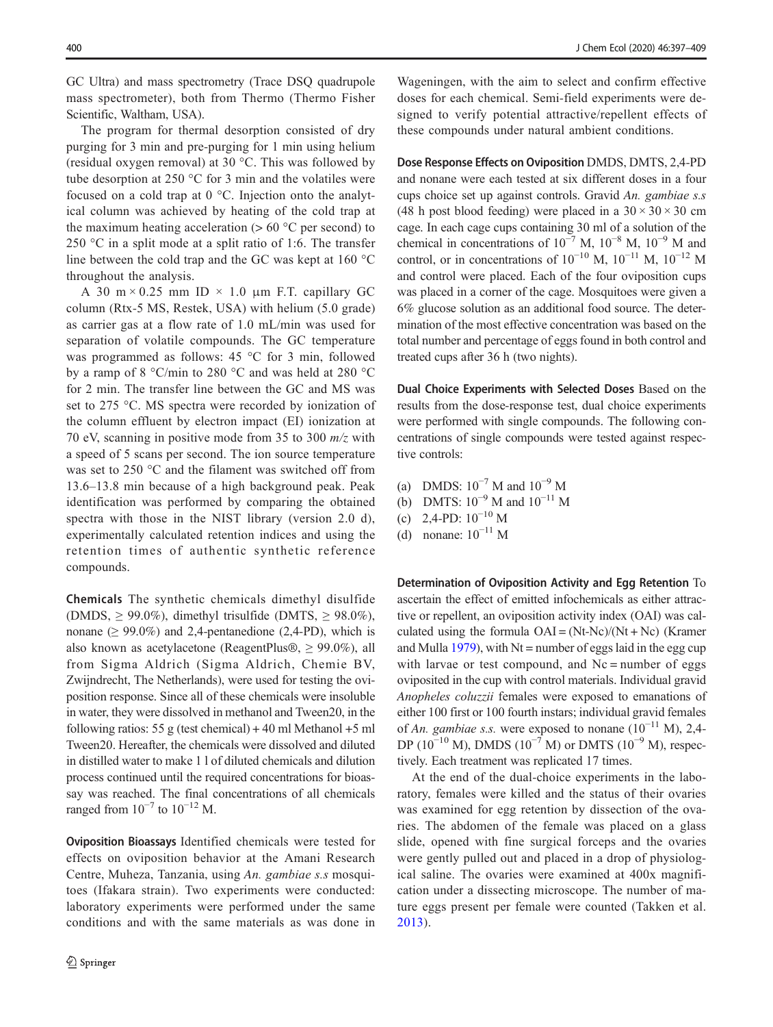GC Ultra) and mass spectrometry (Trace DSQ quadrupole mass spectrometer), both from Thermo (Thermo Fisher Scientific, Waltham, USA).

The program for thermal desorption consisted of dry purging for 3 min and pre-purging for 1 min using helium (residual oxygen removal) at 30 °C. This was followed by tube desorption at 250 °C for 3 min and the volatiles were focused on a cold trap at 0 °C. Injection onto the analytical column was achieved by heating of the cold trap at the maximum heating acceleration  $(> 60 °C)$  per second) to 250 °C in a split mode at a split ratio of 1:6. The transfer line between the cold trap and the GC was kept at 160 °C throughout the analysis.

A 30 m  $\times$  0.25 mm ID  $\times$  1.0 µm F.T. capillary GC column (Rtx-5 MS, Restek, USA) with helium (5.0 grade) as carrier gas at a flow rate of 1.0 mL/min was used for separation of volatile compounds. The GC temperature was programmed as follows: 45 °C for 3 min, followed by a ramp of 8 °C/min to 280 °C and was held at 280 °C for 2 min. The transfer line between the GC and MS was set to 275 °C. MS spectra were recorded by ionization of the column effluent by electron impact (EI) ionization at 70 eV, scanning in positive mode from 35 to 300  $m/z$  with a speed of 5 scans per second. The ion source temperature was set to 250 °C and the filament was switched off from 13.6–13.8 min because of a high background peak. Peak identification was performed by comparing the obtained spectra with those in the NIST library (version 2.0 d), experimentally calculated retention indices and using the retention times of authentic synthetic reference compounds.

Chemicals The synthetic chemicals dimethyl disulfide (DMDS,  $\geq$  99.0%), dimethyl trisulfide (DMTS,  $\geq$  98.0%), nonane ( $\geq 99.0\%$ ) and 2,4-pentanedione (2,4-PD), which is also known as acetylacetone (ReagentPlus®,  $\geq$  99.0%), all from Sigma Aldrich (Sigma Aldrich, Chemie BV, Zwijndrecht, The Netherlands), were used for testing the oviposition response. Since all of these chemicals were insoluble in water, they were dissolved in methanol and Tween20, in the following ratios: 55 g (test chemical)  $+40$  ml Methanol  $+5$  ml Tween20. Hereafter, the chemicals were dissolved and diluted in distilled water to make 1 l of diluted chemicals and dilution process continued until the required concentrations for bioassay was reached. The final concentrations of all chemicals ranged from  $10^{-7}$  to  $10^{-12}$  M.

Oviposition Bioassays Identified chemicals were tested for effects on oviposition behavior at the Amani Research Centre, Muheza, Tanzania, using An. gambiae s.s mosquitoes (Ifakara strain). Two experiments were conducted: laboratory experiments were performed under the same conditions and with the same materials as was done in

Wageningen, with the aim to select and confirm effective doses for each chemical. Semi-field experiments were designed to verify potential attractive/repellent effects of these compounds under natural ambient conditions.

Dose Response Effects on Oviposition DMDS, DMTS, 2,4-PD and nonane were each tested at six different doses in a four cups choice set up against controls. Gravid An. gambiae s.s (48 h post blood feeding) were placed in a  $30 \times 30 \times 30$  cm cage. In each cage cups containing 30 ml of a solution of the chemical in concentrations of  $10^{-7}$  M,  $10^{-8}$  M,  $10^{-9}$  M and control, or in concentrations of  $10^{-10}$  M,  $10^{-11}$  M,  $10^{-12}$  M and control were placed. Each of the four oviposition cups was placed in a corner of the cage. Mosquitoes were given a 6% glucose solution as an additional food source. The determination of the most effective concentration was based on the total number and percentage of eggs found in both control and treated cups after 36 h (two nights).

Dual Choice Experiments with Selected Doses Based on the results from the dose-response test, dual choice experiments were performed with single compounds. The following concentrations of single compounds were tested against respective controls:

- (a) DMDS:  $10^{-7}$  M and  $10^{-9}$  M
- (b) DMTS:  $10^{-9}$  M and  $10^{-11}$  M
- (c) 2,4-PD:  $10^{-10}$  M
- (d) nonane:  $10^{-11}$  M

Determination of Oviposition Activity and Egg Retention To ascertain the effect of emitted infochemicals as either attractive or repellent, an oviposition activity index (OAI) was calculated using the formula  $OAI = (Nt-Ne)/(Nt + Nc)$  (Kramer and Mulla [1979\)](#page-11-0), with  $Nt =$  number of eggs laid in the egg cup with larvae or test compound, and  $Nc$  = number of eggs oviposited in the cup with control materials. Individual gravid Anopheles coluzzii females were exposed to emanations of either 100 first or 100 fourth instars; individual gravid females of An. gambiae s.s. were exposed to nonane  $(10^{-11}$  M), 2,4-DP ( $10^{-10}$  M), DMDS ( $10^{-7}$  M) or DMTS ( $10^{-9}$  M), respectively. Each treatment was replicated 17 times.

At the end of the dual-choice experiments in the laboratory, females were killed and the status of their ovaries was examined for egg retention by dissection of the ovaries. The abdomen of the female was placed on a glass slide, opened with fine surgical forceps and the ovaries were gently pulled out and placed in a drop of physiological saline. The ovaries were examined at 400x magnification under a dissecting microscope. The number of mature eggs present per female were counted (Takken et al. [2013](#page-12-0)).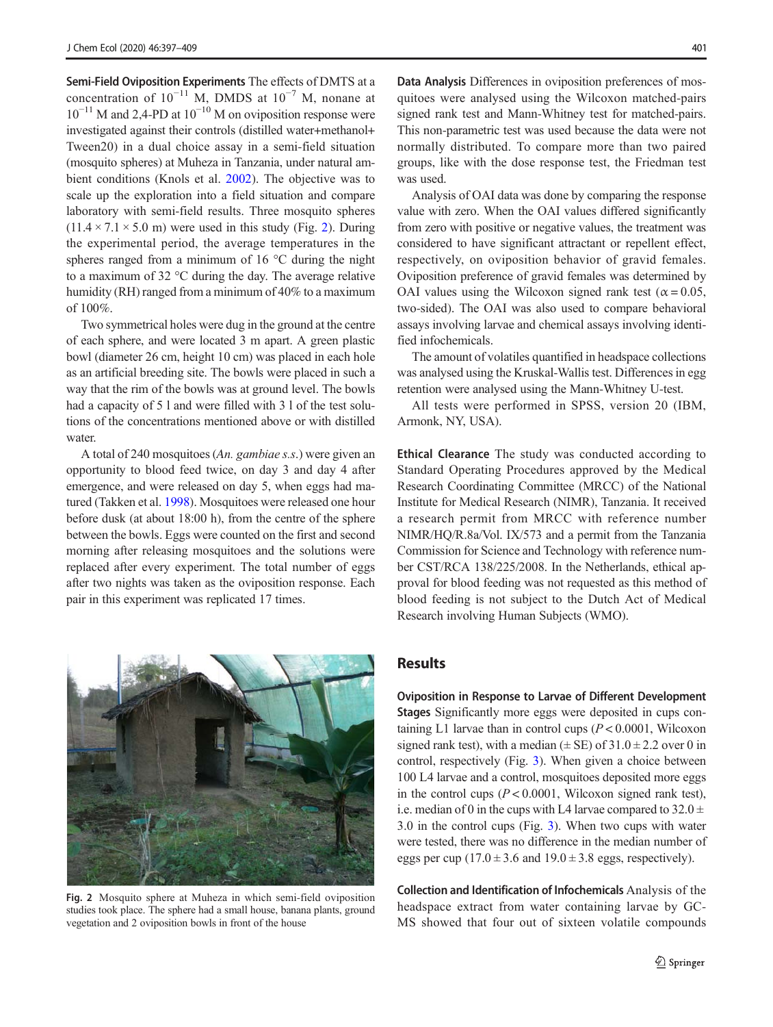Semi-Field Oviposition Experiments The effects of DMTS at a concentration of  $10^{-11}$  M, DMDS at  $10^{-7}$  M, nonane at  $10^{-11}$  M and 2,4-PD at  $10^{-10}$  M on oviposition response were investigated against their controls (distilled water+methanol+ Tween20) in a dual choice assay in a semi-field situation (mosquito spheres) at Muheza in Tanzania, under natural ambient conditions (Knols et al. [2002\)](#page-11-0). The objective was to scale up the exploration into a field situation and compare laboratory with semi-field results. Three mosquito spheres  $(11.4 \times 7.1 \times 5.0 \text{ m})$  were used in this study (Fig. 2). During the experimental period, the average temperatures in the spheres ranged from a minimum of 16 °C during the night to a maximum of 32 °C during the day. The average relative humidity (RH) ranged from a minimum of 40% to a maximum of 100%.

Two symmetrical holes were dug in the ground at the centre of each sphere, and were located 3 m apart. A green plastic bowl (diameter 26 cm, height 10 cm) was placed in each hole as an artificial breeding site. The bowls were placed in such a way that the rim of the bowls was at ground level. The bowls had a capacity of 5 l and were filled with 3 l of the test solutions of the concentrations mentioned above or with distilled water.

A total of 240 mosquitoes (An. gambiae s.s.) were given an opportunity to blood feed twice, on day 3 and day 4 after emergence, and were released on day 5, when eggs had matured (Takken et al. [1998](#page-12-0)). Mosquitoes were released one hour before dusk (at about 18:00 h), from the centre of the sphere between the bowls. Eggs were counted on the first and second morning after releasing mosquitoes and the solutions were replaced after every experiment. The total number of eggs after two nights was taken as the oviposition response. Each pair in this experiment was replicated 17 times.



Fig. 2 Mosquito sphere at Muheza in which semi-field oviposition studies took place. The sphere had a small house, banana plants, ground vegetation and 2 oviposition bowls in front of the house

Data Analysis Differences in oviposition preferences of mosquitoes were analysed using the Wilcoxon matched-pairs signed rank test and Mann-Whitney test for matched-pairs. This non-parametric test was used because the data were not normally distributed. To compare more than two paired groups, like with the dose response test, the Friedman test was used.

Analysis of OAI data was done by comparing the response value with zero. When the OAI values differed significantly from zero with positive or negative values, the treatment was considered to have significant attractant or repellent effect, respectively, on oviposition behavior of gravid females. Oviposition preference of gravid females was determined by OAI values using the Wilcoxon signed rank test ( $\alpha$  = 0.05, two-sided). The OAI was also used to compare behavioral assays involving larvae and chemical assays involving identified infochemicals.

The amount of volatiles quantified in headspace collections was analysed using the Kruskal-Wallis test. Differences in egg retention were analysed using the Mann-Whitney U-test.

All tests were performed in SPSS, version 20 (IBM, Armonk, NY, USA).

Ethical Clearance The study was conducted according to Standard Operating Procedures approved by the Medical Research Coordinating Committee (MRCC) of the National Institute for Medical Research (NIMR), Tanzania. It received a research permit from MRCC with reference number NIMR/HQ/R.8a/Vol. IX/573 and a permit from the Tanzania Commission for Science and Technology with reference number CST/RCA 138/225/2008. In the Netherlands, ethical approval for blood feeding was not requested as this method of blood feeding is not subject to the Dutch Act of Medical Research involving Human Subjects (WMO).

### Results

Oviposition in Response to Larvae of Different Development Stages Significantly more eggs were deposited in cups containing L1 larvae than in control cups  $(P < 0.0001$ , Wilcoxon signed rank test), with a median ( $\pm$  SE) of 31.0  $\pm$  2.2 over 0 in control, respectively (Fig. [3\)](#page-5-0). When given a choice between 100 L4 larvae and a control, mosquitoes deposited more eggs in the control cups  $(P < 0.0001$ , Wilcoxon signed rank test), i.e. median of 0 in the cups with L4 larvae compared to  $32.0 \pm$ 3.0 in the control cups (Fig. [3\)](#page-5-0). When two cups with water were tested, there was no difference in the median number of eggs per cup  $(17.0 \pm 3.6 \text{ and } 19.0 \pm 3.8 \text{ eggs},$  respectively).

Collection and Identification of Infochemicals Analysis of the headspace extract from water containing larvae by GC-MS showed that four out of sixteen volatile compounds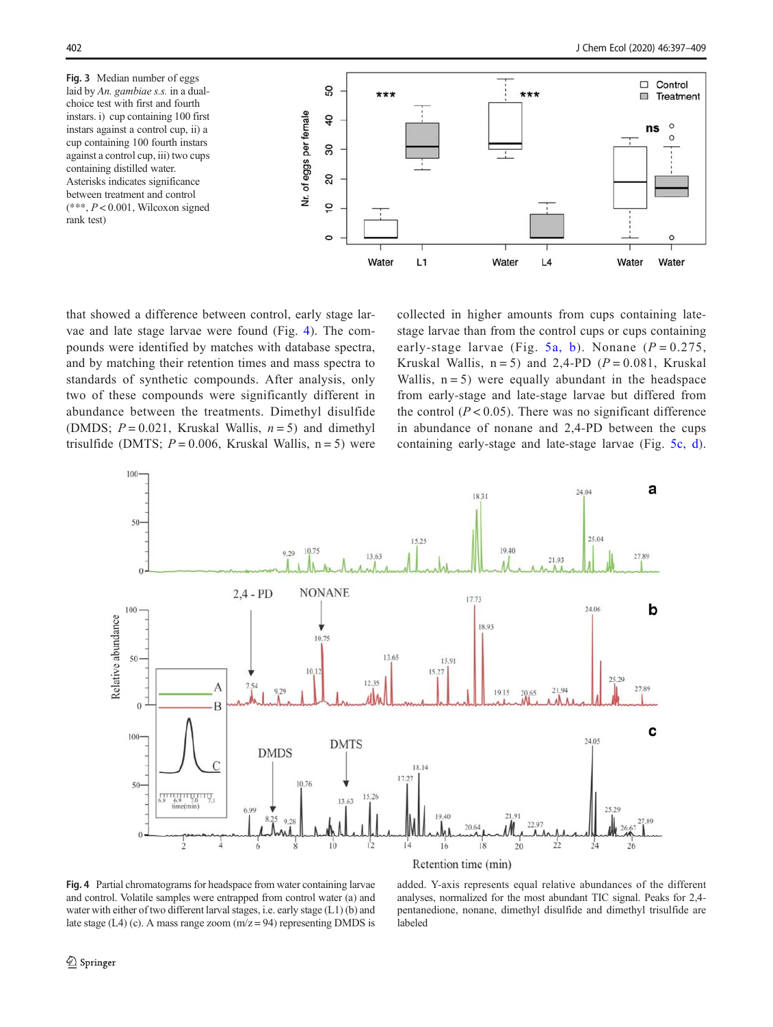<span id="page-5-0"></span>Fig. 3 Median number of eggs laid by An. gambiae s.s. in a dualchoice test with first and fourth instars. i) cup containing 100 first instars against a control cup, ii) a cup containing 100 fourth instars against a control cup, iii) two cups containing distilled water. Asterisks indicates significance between treatment and control  $(***, P < 0.001,$  Wilcoxon signed rank test)



that showed a difference between control, early stage larvae and late stage larvae were found (Fig. 4). The compounds were identified by matches with database spectra, and by matching their retention times and mass spectra to standards of synthetic compounds. After analysis, only two of these compounds were significantly different in abundance between the treatments. Dimethyl disulfide (DMDS;  $P = 0.021$ , Kruskal Wallis,  $n = 5$ ) and dimethyl trisulfide (DMTS;  $P = 0.006$ , Kruskal Wallis,  $n = 5$ ) were collected in higher amounts from cups containing latestage larvae than from the control cups or cups containing early-stage larvae (Fig. [5a, b](#page-6-0)). Nonane ( $P = 0.275$ , Kruskal Wallis,  $n = 5$ ) and 2,4-PD ( $P = 0.081$ , Kruskal Wallis,  $n = 5$ ) were equally abundant in the headspace from early-stage and late-stage larvae but differed from the control  $(P < 0.05)$ . There was no significant difference in abundance of nonane and 2,4-PD between the cups containing early-stage and late-stage larvae (Fig. [5c, d](#page-6-0)).



Fig. 4 Partial chromatograms for headspace from water containing larvae and control. Volatile samples were entrapped from control water (a) and water with either of two different larval stages, i.e. early stage (L1) (b) and late stage (L4) (c). A mass range zoom  $(m/z = 94)$  representing DMDS is

added. Y-axis represents equal relative abundances of the different analyses, normalized for the most abundant TIC signal. Peaks for 2,4 pentanedione, nonane, dimethyl disulfide and dimethyl trisulfide are labeled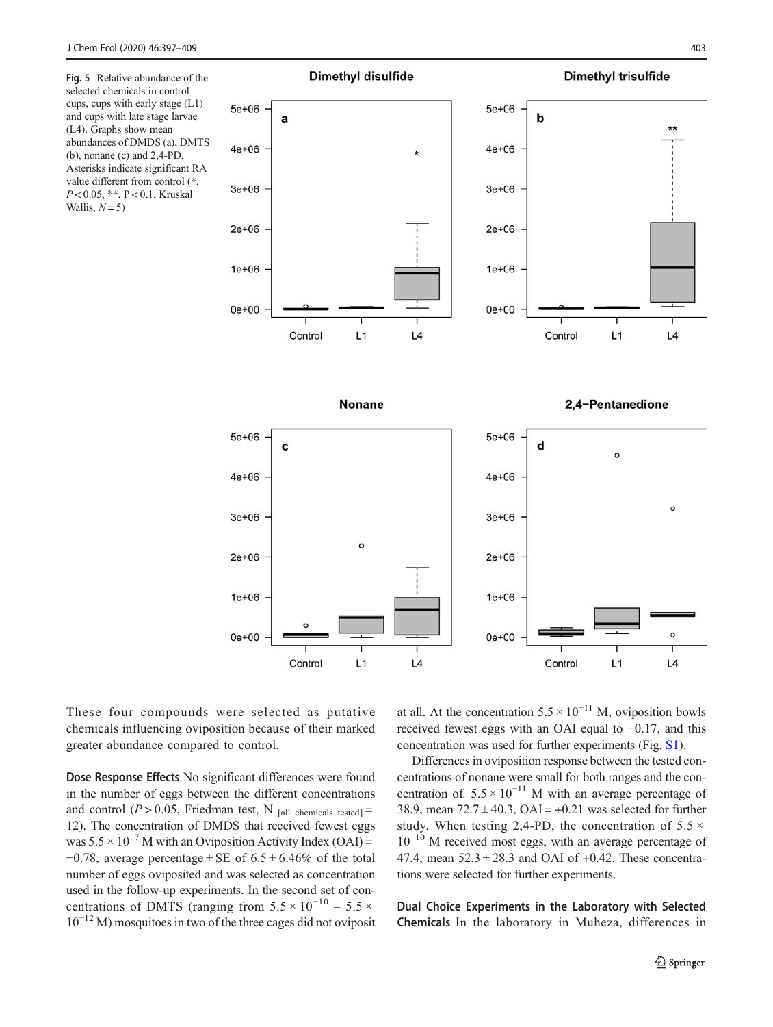<span id="page-6-0"></span>Fig. 5 Relative abundance of the selected chemicals in control cups, cups with early stage (L1) and cups with late stage larvae (L4). Graphs show mean abundances of DMDS (a), DMTS (b), nonane (c) and 2,4-PD. Asterisks indicate significant RA value different from control (\*,  $P < 0.05$ , \*\*,  $P < 0.1$ , Kruskal Wallis,  $N = 5$ )



These four compounds were selected as putative chemicals influencing oviposition because of their marked greater abundance compared to control.

Control

 $L1$ 

 $L4$ 

Dose Response Effects No significant differences were found in the number of eggs between the different concentrations and control ( $P > 0.05$ , Friedman test, N [all chemicals tested] = 12). The concentration of DMDS that received fewest eggs was  $5.5 \times 10^{-7}$  M with an Oviposition Activity Index (OAI) =  $-0.78$ , average percentage  $\pm$  SE of 6.5  $\pm$  6.46% of the total number of eggs oviposited and was selected as concentration used in the follow-up experiments. In the second set of concentrations of DMTS (ranging from  $5.5 \times 10^{-10} - 5.5 \times$  $10^{-12}$  M) mosquitoes in two of the three cages did not oviposit at all. At the concentration  $5.5 \times 10^{-11}$  M, oviposition bowls received fewest eggs with an OAI equal to −0.17, and this concentration was used for further experiments (Fig. S1).

Control

 $L1$ 

 $L4$ 

Differences in oviposition response between the tested concentrations of nonane were small for both ranges and the concentration of.  $5.5 \times 10^{-11}$  M with an average percentage of 38.9, mean  $72.7 \pm 40.3$ , OAI =  $+0.21$  was selected for further study. When testing 2,4-PD, the concentration of  $5.5 \times$  $10^{-10}$  M received most eggs, with an average percentage of 47.4, mean  $52.3 \pm 28.3$  and OAI of  $+0.42$ . These concentrations were selected for further experiments.

Dual Choice Experiments in the Laboratory with Selected Chemicals In the laboratory in Muheza, differences in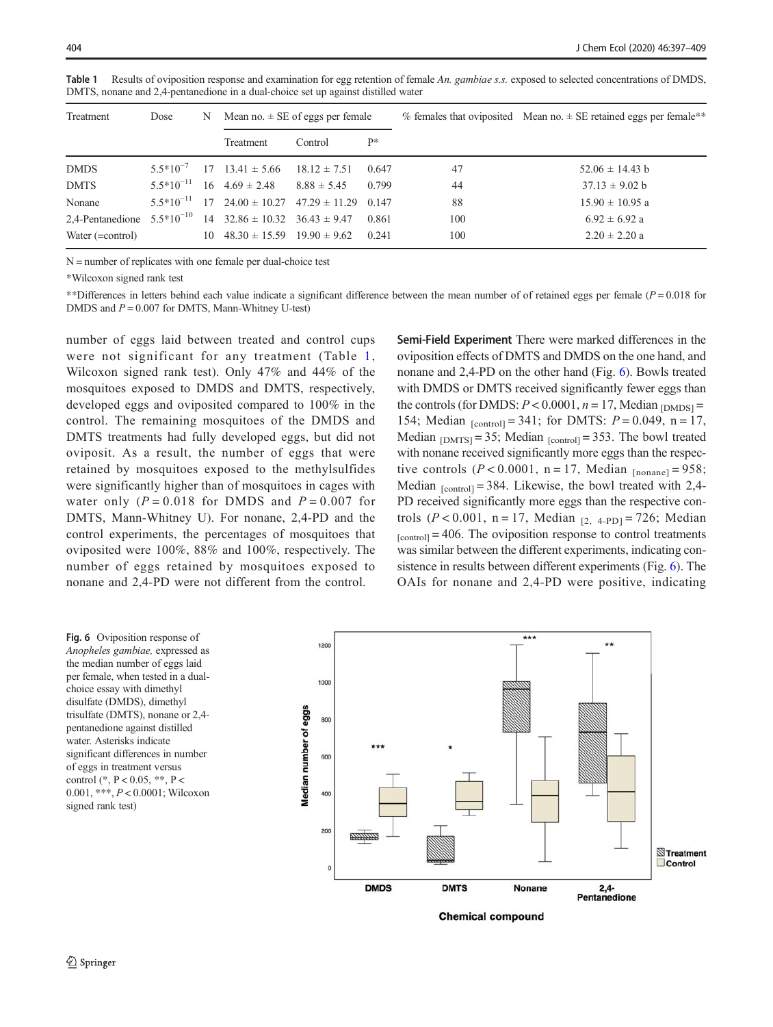|             |      |   |                                      | DMTS, nonane and 2,4-pentanedione in a dual-choice set up against distilled water |    |    |                                                                        |
|-------------|------|---|--------------------------------------|-----------------------------------------------------------------------------------|----|----|------------------------------------------------------------------------|
| Treatment   | Dose | N | Mean no. $\pm$ SE of eggs per female |                                                                                   |    |    | % females that oviposited Mean no. $\pm$ SE retained eggs per female** |
|             |      |   | Treatment                            | Control                                                                           | p* |    |                                                                        |
| <b>DMDS</b> |      |   |                                      | $5.5*10^{-7}$ 17 13.41 ± 5.66 18.12 ± 7.51 0.647                                  |    | 47 | $52.06 \pm 14.43$ b                                                    |

DMTS  $5.5*10^{-11}$  16  $4.69 \pm 2.48$   $8.88 \pm 5.45$  0.799 44 37.13 ± 9.02 b Nonane  $5.5*10^{-11}$  17 24.00 ± 10.27 47.29 ± 11.29 0.147 88 15.90 ± 10.95 a 2,4-Pentanedione  $5.5*10^{-10}$  14  $32.86 \pm 10.32$   $36.43 \pm 9.47$  0.861 100 6.92  $\pm 6.92$  a Water (=control) 10  $48.30 \pm 15.59$   $19.90 \pm 9.62$  0.241 100 2.20  $\pm 2.20$  a

Table 1 Results of oviposition response and examination for egg retention of female An. gambiae s.s. exposed to selected concentrations of DMDS. DMTS, nonane and 2,4-pentanedione in a dual-choice set up against distilled water

N = number of replicates with one female per dual-choice test

\*Wilcoxon signed rank test

\*\*Differences in letters behind each value indicate a significant difference between the mean number of of retained eggs per female ( $P = 0.018$  for DMDS and  $P = 0.007$  for DMTS, Mann-Whitney U-test)

number of eggs laid between treated and control cups were not significant for any treatment (Table 1, Wilcoxon signed rank test). Only 47% and 44% of the mosquitoes exposed to DMDS and DMTS, respectively, developed eggs and oviposited compared to 100% in the control. The remaining mosquitoes of the DMDS and DMTS treatments had fully developed eggs, but did not oviposit. As a result, the number of eggs that were retained by mosquitoes exposed to the methylsulfides were significantly higher than of mosquitoes in cages with water only  $(P = 0.018$  for DMDS and  $P = 0.007$  for DMTS, Mann-Whitney U). For nonane, 2,4-PD and the control experiments, the percentages of mosquitoes that oviposited were 100%, 88% and 100%, respectively. The number of eggs retained by mosquitoes exposed to nonane and 2,4-PD were not different from the control.

Semi-Field Experiment There were marked differences in the oviposition effects of DMTS and DMDS on the one hand, and nonane and 2,4-PD on the other hand (Fig. 6). Bowls treated with DMDS or DMTS received significantly fewer eggs than the controls (for DMDS:  $P < 0.0001$ ,  $n = 17$ , Median  $_DMDSI$ 154; Median  $_{[control]} = 341$ ; for DMTS:  $P = 0.049$ ,  $n = 17$ , Median  $_{[DMTS]} = 35$ ; Median  $_{[control]} = 353$ . The bowl treated with nonane received significantly more eggs than the respective controls ( $P < 0.0001$ , n = 17, Median  $_{\text{Inonanel}} = 958$ ; Median  $_{\text{[control]}} = 384$ . Likewise, the bowl treated with 2,4-PD received significantly more eggs than the respective controls ( $P < 0.001$ , n = 17, Median  $_{[2, 4-PD]} = 726$ ; Median  $[control] = 406$ . The oviposition response to control treatments was similar between the different experiments, indicating consistence in results between different experiments (Fig. 6). The OAIs for nonane and 2,4-PD were positive, indicating

Fig. 6 Oviposition response of Anopheles gambiae, expressed as the median number of eggs laid per female, when tested in a dualchoice essay with dimethyl disulfate (DMDS), dimethyl trisulfate (DMTS), nonane or 2,4 pentanedione against distilled water. Asterisks indicate significant differences in number of eggs in treatment versus control (\*, P < 0.05, \*\*, P < 0.001, \*\*\*, P < 0.0001; Wilcoxon signed rank test)



 $\hat{Z}$  Springer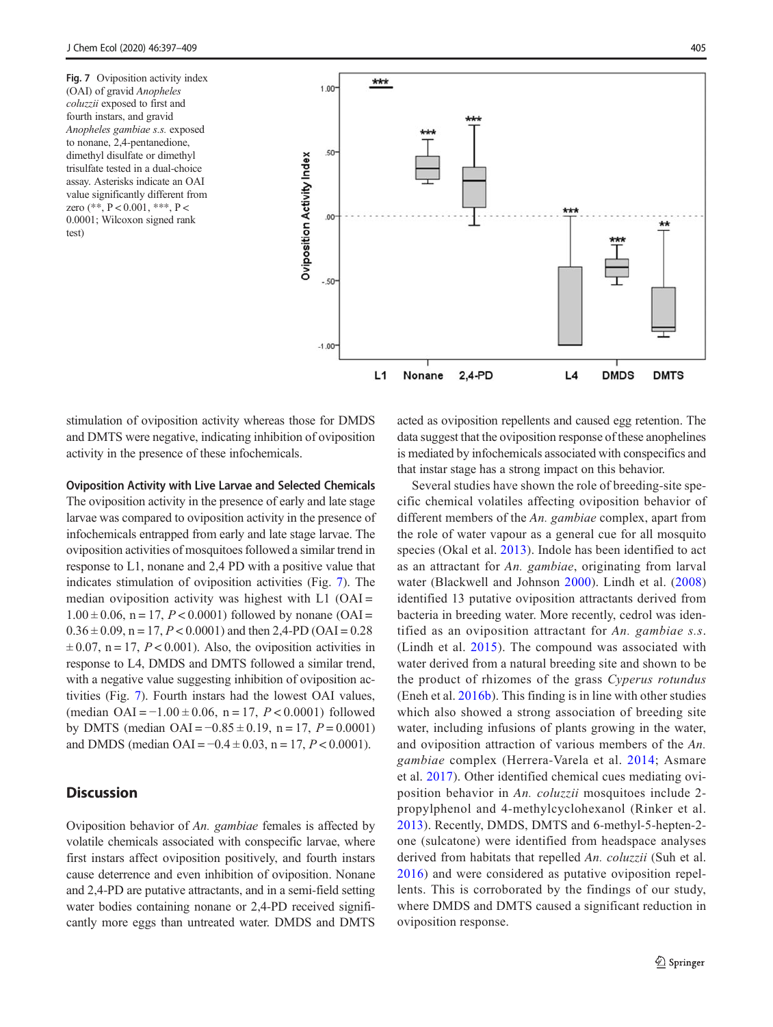Fig. 7 Oviposition activity index (OAI) of gravid Anopheles coluzzii exposed to first and fourth instars, and gravid Anopheles gambiae s.s. exposed to nonane, 2,4-pentanedione, dimethyl disulfate or dimethyl trisulfate tested in a dual-choice assay. Asterisks indicate an OAI value significantly different from zero (\*\*,  $P < 0.001$ , \*\*\*,  $P <$ 0.0001; Wilcoxon signed rank test)



stimulation of oviposition activity whereas those for DMDS and DMTS were negative, indicating inhibition of oviposition activity in the presence of these infochemicals.

#### Oviposition Activity with Live Larvae and Selected Chemicals

The oviposition activity in the presence of early and late stage larvae was compared to oviposition activity in the presence of infochemicals entrapped from early and late stage larvae. The oviposition activities of mosquitoes followed a similar trend in response to L1, nonane and 2,4 PD with a positive value that indicates stimulation of oviposition activities (Fig. 7). The median oviposition activity was highest with  $L1$  (OAI =  $1.00 \pm 0.06$ , n = 17, P < 0.0001) followed by nonane (OAI =  $0.36 \pm 0.09$ , n = 17, P < 0.0001) and then 2,4-PD (OAI = 0.28  $\pm 0.07$ , n = 17, P < 0.001). Also, the oviposition activities in response to L4, DMDS and DMTS followed a similar trend, with a negative value suggesting inhibition of oviposition activities (Fig. 7). Fourth instars had the lowest OAI values, (median  $OAI = -1.00 \pm 0.06$ , n = 17,  $P < 0.0001$ ) followed by DMTS (median  $OAI = -0.85 \pm 0.19$ , n = 17, P = 0.0001) and DMDS (median OAI =  $-0.4 \pm 0.03$ , n = 17, P < 0.0001).

## **Discussion**

Oviposition behavior of An. gambiae females is affected by volatile chemicals associated with conspecific larvae, where first instars affect oviposition positively, and fourth instars cause deterrence and even inhibition of oviposition. Nonane and 2,4-PD are putative attractants, and in a semi-field setting water bodies containing nonane or 2,4-PD received significantly more eggs than untreated water. DMDS and DMTS acted as oviposition repellents and caused egg retention. The data suggest that the oviposition response of these anophelines is mediated by infochemicals associated with conspecifics and that instar stage has a strong impact on this behavior.

Several studies have shown the role of breeding-site specific chemical volatiles affecting oviposition behavior of different members of the An. gambiae complex, apart from the role of water vapour as a general cue for all mosquito species (Okal et al. [2013](#page-11-0)). Indole has been identified to act as an attractant for An. gambiae, originating from larval water (Blackwell and Johnson [2000\)](#page-10-0). Lindh et al. ([2008](#page-11-0)) identified 13 putative oviposition attractants derived from bacteria in breeding water. More recently, cedrol was identified as an oviposition attractant for An. gambiae s.s. (Lindh et al. [2015\)](#page-11-0). The compound was associated with water derived from a natural breeding site and shown to be the product of rhizomes of the grass Cyperus rotundus (Eneh et al. [2016b\)](#page-11-0). This finding is in line with other studies which also showed a strong association of breeding site water, including infusions of plants growing in the water, and oviposition attraction of various members of the An. gambiae complex (Herrera-Varela et al. [2014;](#page-11-0) Asmare et al. [2017](#page-10-0)). Other identified chemical cues mediating oviposition behavior in An. coluzzii mosquitoes include 2 propylphenol and 4-methylcyclohexanol (Rinker et al. [2013](#page-12-0)). Recently, DMDS, DMTS and 6-methyl-5-hepten-2 one (sulcatone) were identified from headspace analyses derived from habitats that repelled An. coluzzii (Suh et al. [2016\)](#page-12-0) and were considered as putative oviposition repellents. This is corroborated by the findings of our study, where DMDS and DMTS caused a significant reduction in oviposition response.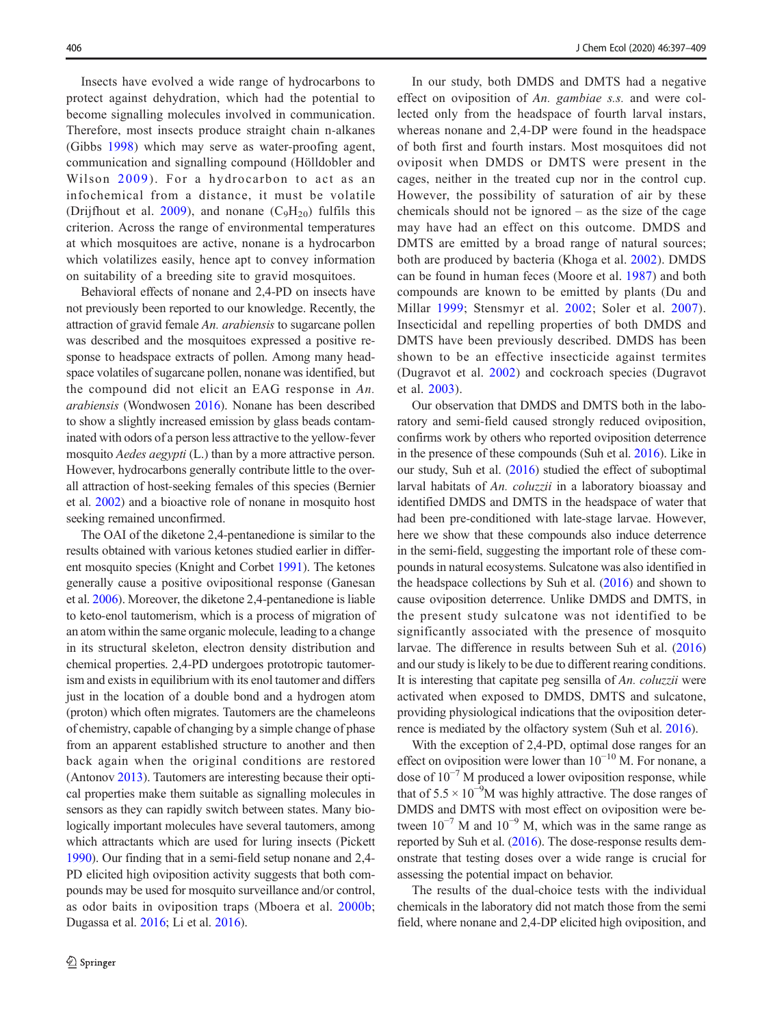Insects have evolved a wide range of hydrocarbons to protect against dehydration, which had the potential to become signalling molecules involved in communication. Therefore, most insects produce straight chain n-alkanes (Gibbs [1998](#page-11-0)) which may serve as water-proofing agent, communication and signalling compound (Hölldobler and Wilson [2009\)](#page-11-0). For a hydrocarbon to act as an infochemical from a distance, it must be volatile (Drijfhout et al. [2009](#page-11-0)), and nonane  $(C_9H_{20})$  fulfils this criterion. Across the range of environmental temperatures at which mosquitoes are active, nonane is a hydrocarbon which volatilizes easily, hence apt to convey information on suitability of a breeding site to gravid mosquitoes.

Behavioral effects of nonane and 2,4-PD on insects have not previously been reported to our knowledge. Recently, the attraction of gravid female An. arabiensis to sugarcane pollen was described and the mosquitoes expressed a positive response to headspace extracts of pollen. Among many headspace volatiles of sugarcane pollen, nonane was identified, but the compound did not elicit an EAG response in An. arabiensis (Wondwosen [2016\)](#page-12-0). Nonane has been described to show a slightly increased emission by glass beads contaminated with odors of a person less attractive to the yellow-fever mosquito *Aedes aegypti* (L.) than by a more attractive person. However, hydrocarbons generally contribute little to the overall attraction of host-seeking females of this species (Bernier et al. [2002](#page-10-0)) and a bioactive role of nonane in mosquito host seeking remained unconfirmed.

The OAI of the diketone 2,4-pentanedione is similar to the results obtained with various ketones studied earlier in different mosquito species (Knight and Corbet [1991](#page-11-0)). The ketones generally cause a positive ovipositional response (Ganesan et al. [2006\)](#page-11-0). Moreover, the diketone 2,4-pentanedione is liable to keto-enol tautomerism, which is a process of migration of an atom within the same organic molecule, leading to a change in its structural skeleton, electron density distribution and chemical properties. 2,4-PD undergoes prototropic tautomerism and exists in equilibrium with its enol tautomer and differs just in the location of a double bond and a hydrogen atom (proton) which often migrates. Tautomers are the chameleons of chemistry, capable of changing by a simple change of phase from an apparent established structure to another and then back again when the original conditions are restored (Antonov [2013](#page-10-0)). Tautomers are interesting because their optical properties make them suitable as signalling molecules in sensors as they can rapidly switch between states. Many biologically important molecules have several tautomers, among which attractants which are used for luring insects (Pickett [1990\)](#page-12-0). Our finding that in a semi-field setup nonane and 2,4- PD elicited high oviposition activity suggests that both compounds may be used for mosquito surveillance and/or control, as odor baits in oviposition traps (Mboera et al. [2000b](#page-11-0); Dugassa et al. [2016;](#page-11-0) Li et al. [2016](#page-11-0)).

In our study, both DMDS and DMTS had a negative effect on oviposition of An. gambiae s.s. and were collected only from the headspace of fourth larval instars, whereas nonane and 2,4-DP were found in the headspace of both first and fourth instars. Most mosquitoes did not oviposit when DMDS or DMTS were present in the cages, neither in the treated cup nor in the control cup. However, the possibility of saturation of air by these chemicals should not be ignored – as the size of the cage may have had an effect on this outcome. DMDS and DMTS are emitted by a broad range of natural sources; both are produced by bacteria (Khoga et al. [2002\)](#page-11-0). DMDS can be found in human feces (Moore et al. [1987\)](#page-11-0) and both compounds are known to be emitted by plants (Du and Millar [1999](#page-11-0); Stensmyr et al. [2002](#page-12-0); Soler et al. [2007](#page-12-0)). Insecticidal and repelling properties of both DMDS and DMTS have been previously described. DMDS has been shown to be an effective insecticide against termites (Dugravot et al. [2002\)](#page-11-0) and cockroach species (Dugravot et al. [2003\)](#page-11-0).

Our observation that DMDS and DMTS both in the laboratory and semi-field caused strongly reduced oviposition, confirms work by others who reported oviposition deterrence in the presence of these compounds (Suh et al. [2016](#page-12-0)). Like in our study, Suh et al. ([2016](#page-12-0)) studied the effect of suboptimal larval habitats of An. coluzzii in a laboratory bioassay and identified DMDS and DMTS in the headspace of water that had been pre-conditioned with late-stage larvae. However, here we show that these compounds also induce deterrence in the semi-field, suggesting the important role of these compounds in natural ecosystems. Sulcatone was also identified in the headspace collections by Suh et al. [\(2016\)](#page-12-0) and shown to cause oviposition deterrence. Unlike DMDS and DMTS, in the present study sulcatone was not identified to be significantly associated with the presence of mosquito larvae. The difference in results between Suh et al. [\(2016](#page-12-0)) and our study is likely to be due to different rearing conditions. It is interesting that capitate peg sensilla of An. coluzzii were activated when exposed to DMDS, DMTS and sulcatone, providing physiological indications that the oviposition deterrence is mediated by the olfactory system (Suh et al. [2016\)](#page-12-0).

With the exception of 2,4-PD, optimal dose ranges for an effect on oviposition were lower than 10−<sup>10</sup> M. For nonane, a dose of  $10^{-7}$  M produced a lower oviposition response, while that of  $5.5 \times 10^{-9}$ M was highly attractive. The dose ranges of DMDS and DMTS with most effect on oviposition were between  $10^{-7}$  M and  $10^{-9}$  M, which was in the same range as reported by Suh et al. ([2016](#page-12-0)). The dose-response results demonstrate that testing doses over a wide range is crucial for assessing the potential impact on behavior.

The results of the dual-choice tests with the individual chemicals in the laboratory did not match those from the semi field, where nonane and 2,4-DP elicited high oviposition, and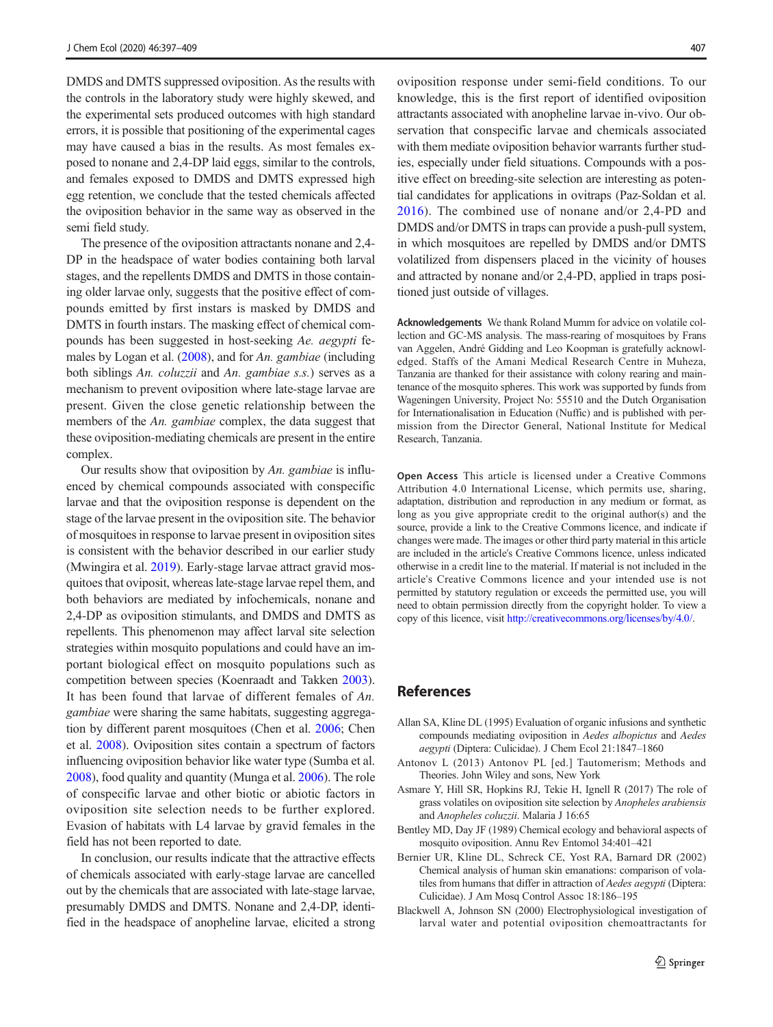<span id="page-10-0"></span>DMDS and DMTS suppressed oviposition. As the results with the controls in the laboratory study were highly skewed, and the experimental sets produced outcomes with high standard errors, it is possible that positioning of the experimental cages may have caused a bias in the results. As most females exposed to nonane and 2,4-DP laid eggs, similar to the controls, and females exposed to DMDS and DMTS expressed high egg retention, we conclude that the tested chemicals affected the oviposition behavior in the same way as observed in the semi field study.

The presence of the oviposition attractants nonane and 2,4- DP in the headspace of water bodies containing both larval stages, and the repellents DMDS and DMTS in those containing older larvae only, suggests that the positive effect of compounds emitted by first instars is masked by DMDS and DMTS in fourth instars. The masking effect of chemical compounds has been suggested in host-seeking Ae. aegypti females by Logan et al. [\(2008](#page-11-0)), and for An. gambiae (including both siblings An. coluzzii and An. gambiae s.s.) serves as a mechanism to prevent oviposition where late-stage larvae are present. Given the close genetic relationship between the members of the An. gambiae complex, the data suggest that these oviposition-mediating chemicals are present in the entire complex.

Our results show that oviposition by An. gambiae is influenced by chemical compounds associated with conspecific larvae and that the oviposition response is dependent on the stage of the larvae present in the oviposition site. The behavior of mosquitoes in response to larvae present in oviposition sites is consistent with the behavior described in our earlier study (Mwingira et al. [2019\)](#page-11-0). Early-stage larvae attract gravid mosquitoes that oviposit, whereas late-stage larvae repel them, and both behaviors are mediated by infochemicals, nonane and 2,4-DP as oviposition stimulants, and DMDS and DMTS as repellents. This phenomenon may affect larval site selection strategies within mosquito populations and could have an important biological effect on mosquito populations such as competition between species (Koenraadt and Takken [2003\)](#page-11-0). It has been found that larvae of different females of An. gambiae were sharing the same habitats, suggesting aggregation by different parent mosquitoes (Chen et al. [2006;](#page-11-0) Chen et al. [2008\)](#page-11-0). Oviposition sites contain a spectrum of factors influencing oviposition behavior like water type (Sumba et al. [2008\)](#page-12-0), food quality and quantity (Munga et al. [2006](#page-11-0)). The role of conspecific larvae and other biotic or abiotic factors in oviposition site selection needs to be further explored. Evasion of habitats with L4 larvae by gravid females in the field has not been reported to date.

In conclusion, our results indicate that the attractive effects of chemicals associated with early-stage larvae are cancelled out by the chemicals that are associated with late-stage larvae, presumably DMDS and DMTS. Nonane and 2,4-DP, identified in the headspace of anopheline larvae, elicited a strong oviposition response under semi-field conditions. To our knowledge, this is the first report of identified oviposition attractants associated with anopheline larvae in-vivo. Our observation that conspecific larvae and chemicals associated with them mediate oviposition behavior warrants further studies, especially under field situations. Compounds with a positive effect on breeding-site selection are interesting as potential candidates for applications in ovitraps (Paz-Soldan et al. [2016\)](#page-11-0). The combined use of nonane and/or 2,4-PD and DMDS and/or DMTS in traps can provide a push-pull system, in which mosquitoes are repelled by DMDS and/or DMTS volatilized from dispensers placed in the vicinity of houses and attracted by nonane and/or 2,4-PD, applied in traps positioned just outside of villages.

Acknowledgements We thank Roland Mumm for advice on volatile collection and GC-MS analysis. The mass-rearing of mosquitoes by Frans van Aggelen, André Gidding and Leo Koopman is gratefully acknowledged. Staffs of the Amani Medical Research Centre in Muheza, Tanzania are thanked for their assistance with colony rearing and maintenance of the mosquito spheres. This work was supported by funds from Wageningen University, Project No: 55510 and the Dutch Organisation for Internationalisation in Education (Nuffic) and is published with permission from the Director General, National Institute for Medical Research, Tanzania.

Open Access This article is licensed under a Creative Commons Attribution 4.0 International License, which permits use, sharing, adaptation, distribution and reproduction in any medium or format, as long as you give appropriate credit to the original author(s) and the source, provide a link to the Creative Commons licence, and indicate if changes were made. The images or other third party material in this article are included in the article's Creative Commons licence, unless indicated otherwise in a credit line to the material. If material is not included in the article's Creative Commons licence and your intended use is not permitted by statutory regulation or exceeds the permitted use, you will need to obtain permission directly from the copyright holder. To view a copy of this licence, visit [http://creativecommons.org/licenses/by/4.0/.](http://creativecommons.org/licenses/by/4.0/)

## References

- Allan SA, Kline DL (1995) Evaluation of organic infusions and synthetic compounds mediating oviposition in Aedes albopictus and Aedes aegypti (Diptera: Culicidae). J Chem Ecol 21:1847–1860
- Antonov L (2013) Antonov PL [ed.] Tautomerism; Methods and Theories. John Wiley and sons, New York
- Asmare Y, Hill SR, Hopkins RJ, Tekie H, Ignell R (2017) The role of grass volatiles on oviposition site selection by Anopheles arabiensis and Anopheles coluzzii. Malaria J 16:65
- Bentley MD, Day JF (1989) Chemical ecology and behavioral aspects of mosquito oviposition. Annu Rev Entomol 34:401–421
- Bernier UR, Kline DL, Schreck CE, Yost RA, Barnard DR (2002) Chemical analysis of human skin emanations: comparison of volatiles from humans that differ in attraction of Aedes aegypti (Diptera: Culicidae). J Am Mosq Control Assoc 18:186–195
- Blackwell A, Johnson SN (2000) Electrophysiological investigation of larval water and potential oviposition chemoattractants for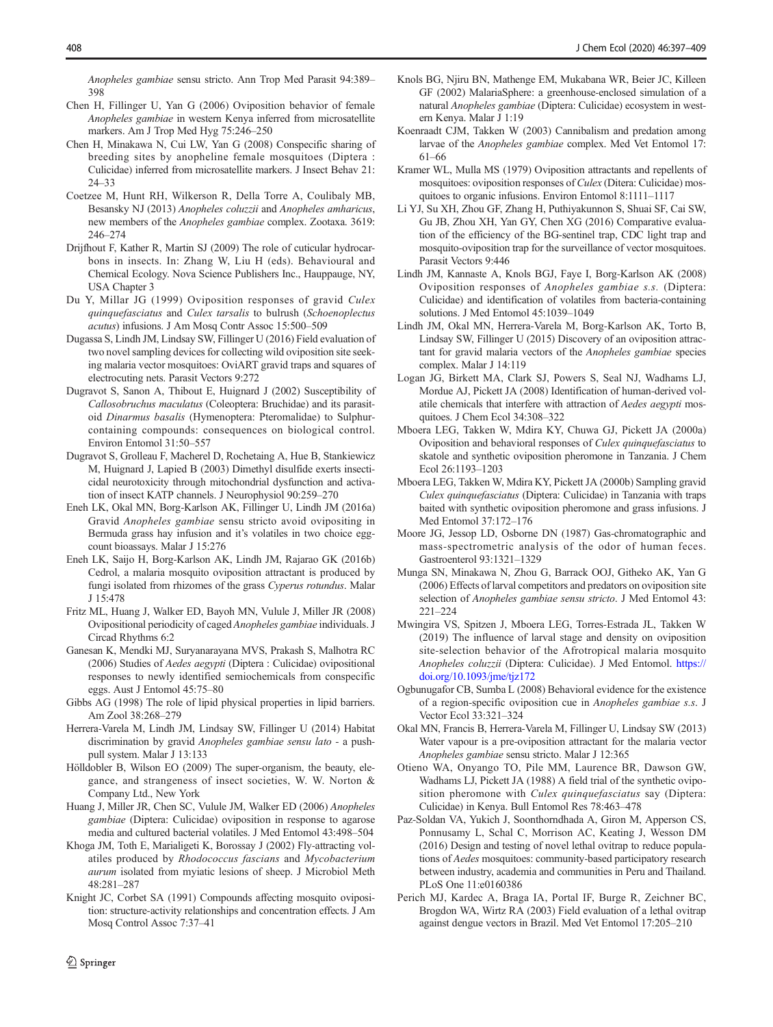<span id="page-11-0"></span>Anopheles gambiae sensu stricto. Ann Trop Med Parasit 94:389– 398

- Chen H, Fillinger U, Yan G (2006) Oviposition behavior of female Anopheles gambiae in western Kenya inferred from microsatellite markers. Am J Trop Med Hyg 75:246–250
- Chen H, Minakawa N, Cui LW, Yan G (2008) Conspecific sharing of breeding sites by anopheline female mosquitoes (Diptera : Culicidae) inferred from microsatellite markers. J Insect Behav 21: 24–33
- Coetzee M, Hunt RH, Wilkerson R, Della Torre A, Coulibaly MB, Besansky NJ (2013) Anopheles coluzzii and Anopheles amharicus, new members of the Anopheles gambiae complex. Zootaxa. 3619: 246–274
- Drijfhout F, Kather R, Martin SJ (2009) The role of cuticular hydrocarbons in insects. In: Zhang W, Liu H (eds). Behavioural and Chemical Ecology. Nova Science Publishers Inc., Hauppauge, NY, USA Chapter 3
- Du Y, Millar JG (1999) Oviposition responses of gravid Culex quinquefasciatus and Culex tarsalis to bulrush (Schoenoplectus acutus) infusions. J Am Mosq Contr Assoc 15:500–509
- Dugassa S, Lindh JM, Lindsay SW, Fillinger U (2016) Field evaluation of two novel sampling devices for collecting wild oviposition site seeking malaria vector mosquitoes: OviART gravid traps and squares of electrocuting nets. Parasit Vectors 9:272
- Dugravot S, Sanon A, Thibout E, Huignard J (2002) Susceptibility of Callosobruchus maculatus (Coleoptera: Bruchidae) and its parasitoid Dinarmus basalis (Hymenoptera: Pteromalidae) to Sulphurcontaining compounds: consequences on biological control. Environ Entomol 31:50–557
- Dugravot S, Grolleau F, Macherel D, Rochetaing A, Hue B, Stankiewicz M, Huignard J, Lapied B (2003) Dimethyl disulfide exerts insecticidal neurotoxicity through mitochondrial dysfunction and activation of insect KATP channels. J Neurophysiol 90:259–270
- Eneh LK, Okal MN, Borg-Karlson AK, Fillinger U, Lindh JM (2016a) Gravid Anopheles gambiae sensu stricto avoid ovipositing in Bermuda grass hay infusion and it's volatiles in two choice eggcount bioassays. Malar J 15:276
- Eneh LK, Saijo H, Borg-Karlson AK, Lindh JM, Rajarao GK (2016b) Cedrol, a malaria mosquito oviposition attractant is produced by fungi isolated from rhizomes of the grass Cyperus rotundus. Malar J 15:478
- Fritz ML, Huang J, Walker ED, Bayoh MN, Vulule J, Miller JR (2008) Ovipositional periodicity of caged Anopheles gambiae individuals. J Circad Rhythms 6:2
- Ganesan K, Mendki MJ, Suryanarayana MVS, Prakash S, Malhotra RC (2006) Studies of Aedes aegypti (Diptera : Culicidae) ovipositional responses to newly identified semiochemicals from conspecific eggs. Aust J Entomol 45:75–80
- Gibbs AG (1998) The role of lipid physical properties in lipid barriers. Am Zool 38:268–279
- Herrera-Varela M, Lindh JM, Lindsay SW, Fillinger U (2014) Habitat discrimination by gravid Anopheles gambiae sensu lato - a pushpull system. Malar J 13:133
- Hölldobler B, Wilson EO (2009) The super-organism, the beauty, elegance, and strangeness of insect societies, W. W. Norton & Company Ltd., New York
- Huang J, Miller JR, Chen SC, Vulule JM, Walker ED (2006) Anopheles gambiae (Diptera: Culicidae) oviposition in response to agarose media and cultured bacterial volatiles. J Med Entomol 43:498–504
- Khoga JM, Toth E, Marialigeti K, Borossay J (2002) Fly-attracting volatiles produced by Rhodococcus fascians and Mycobacterium aurum isolated from myiatic lesions of sheep. J Microbiol Meth 48:281–287
- Knight JC, Corbet SA (1991) Compounds affecting mosquito oviposition: structure-activity relationships and concentration effects. J Am Mosq Control Assoc 7:37–41
- Knols BG, Njiru BN, Mathenge EM, Mukabana WR, Beier JC, Killeen GF (2002) MalariaSphere: a greenhouse-enclosed simulation of a natural Anopheles gambiae (Diptera: Culicidae) ecosystem in western Kenya. Malar J 1:19
- Koenraadt CJM, Takken W (2003) Cannibalism and predation among larvae of the Anopheles gambiae complex. Med Vet Entomol 17: 61–66
- Kramer WL, Mulla MS (1979) Oviposition attractants and repellents of mosquitoes: oviposition responses of Culex (Ditera: Culicidae) mosquitoes to organic infusions. Environ Entomol 8:1111–1117
- Li YJ, Su XH, Zhou GF, Zhang H, Puthiyakunnon S, Shuai SF, Cai SW, Gu JB, Zhou XH, Yan GY, Chen XG (2016) Comparative evaluation of the efficiency of the BG-sentinel trap, CDC light trap and mosquito-oviposition trap for the surveillance of vector mosquitoes. Parasit Vectors 9:446
- Lindh JM, Kannaste A, Knols BGJ, Faye I, Borg-Karlson AK (2008) Oviposition responses of Anopheles gambiae s.s. (Diptera: Culicidae) and identification of volatiles from bacteria-containing solutions. J Med Entomol 45:1039–1049
- Lindh JM, Okal MN, Herrera-Varela M, Borg-Karlson AK, Torto B, Lindsay SW, Fillinger U (2015) Discovery of an oviposition attractant for gravid malaria vectors of the Anopheles gambiae species complex. Malar J 14:119
- Logan JG, Birkett MA, Clark SJ, Powers S, Seal NJ, Wadhams LJ, Mordue AJ, Pickett JA (2008) Identification of human-derived volatile chemicals that interfere with attraction of Aedes aegypti mosquitoes. J Chem Ecol 34:308–322
- Mboera LEG, Takken W, Mdira KY, Chuwa GJ, Pickett JA (2000a) Oviposition and behavioral responses of Culex quinquefasciatus to skatole and synthetic oviposition pheromone in Tanzania. J Chem Ecol 26:1193–1203
- Mboera LEG, Takken W, Mdira KY, Pickett JA (2000b) Sampling gravid Culex quinquefasciatus (Diptera: Culicidae) in Tanzania with traps baited with synthetic oviposition pheromone and grass infusions. J Med Entomol 37:172–176
- Moore JG, Jessop LD, Osborne DN (1987) Gas-chromatographic and mass-spectrometric analysis of the odor of human feces. Gastroenterol 93:1321–1329
- Munga SN, Minakawa N, Zhou G, Barrack OOJ, Githeko AK, Yan G (2006) Effects of larval competitors and predators on oviposition site selection of Anopheles gambiae sensu stricto. J Med Entomol 43: 221–224
- Mwingira VS, Spitzen J, Mboera LEG, Torres-Estrada JL, Takken W (2019) The influence of larval stage and density on oviposition site-selection behavior of the Afrotropical malaria mosquito Anopheles coluzzii (Diptera: Culicidae). J Med Entomol. [https://](https://doi.org/10.1093/jme/tjz172) [doi.org/10.1093/jme/tjz172](https://doi.org/10.1093/jme/tjz172)
- Ogbunugafor CB, Sumba L (2008) Behavioral evidence for the existence of a region-specific oviposition cue in Anopheles gambiae s.s. J Vector Ecol 33:321–324
- Okal MN, Francis B, Herrera-Varela M, Fillinger U, Lindsay SW (2013) Water vapour is a pre-oviposition attractant for the malaria vector Anopheles gambiae sensu stricto. Malar J 12:365
- Otieno WA, Onyango TO, Pile MM, Laurence BR, Dawson GW, Wadhams LJ, Pickett JA (1988) A field trial of the synthetic oviposition pheromone with Culex quinquefasciatus say (Diptera: Culicidae) in Kenya. Bull Entomol Res 78:463–478
- Paz-Soldan VA, Yukich J, Soonthorndhada A, Giron M, Apperson CS, Ponnusamy L, Schal C, Morrison AC, Keating J, Wesson DM (2016) Design and testing of novel lethal ovitrap to reduce populations of Aedes mosquitoes: community-based participatory research between industry, academia and communities in Peru and Thailand. PLoS One 11:e0160386
- Perich MJ, Kardec A, Braga IA, Portal IF, Burge R, Zeichner BC, Brogdon WA, Wirtz RA (2003) Field evaluation of a lethal ovitrap against dengue vectors in Brazil. Med Vet Entomol 17:205–210